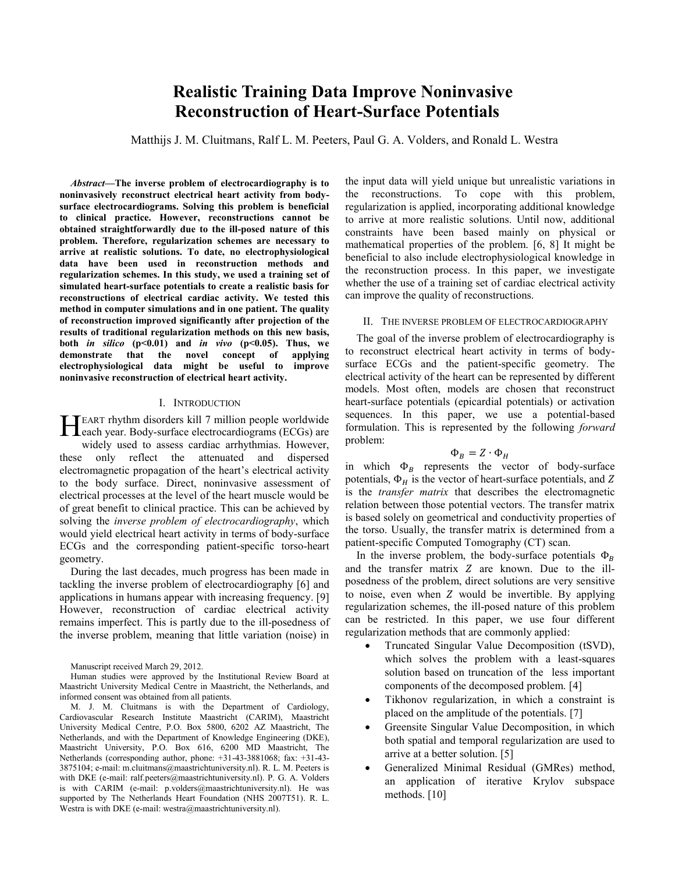# **Realistic Training Data Improve Noninvasive Reconstruction of Heart-Surface Potentials**

Matthijs J. M. Cluitmans, Ralf L. M. Peeters, Paul G. A. Volders, and Ronald L. Westra

*Abstract***—The inverse problem of electrocardiography is to noninvasively reconstruct electrical heart activity from bodysurface electrocardiograms. Solving this problem is beneficial to clinical practice. However, reconstructions cannot be obtained straightforwardly due to the ill-posed nature of this problem. Therefore, regularization schemes are necessary to arrive at realistic solutions. To date, no electrophysiological data have been used in reconstruction methods and regularization schemes. In this study, we used a training set of simulated heart-surface potentials to create a realistic basis for reconstructions of electrical cardiac activity. We tested this method in computer simulations and in one patient. The quality of reconstruction improved significantly after projection of the results of traditional regularization methods on this new basis, both** *in silico*  $(p<0.01)$  and *in vivo*  $(p<0.05)$ . Thus, we **demonstrate that the novel concept of applying electrophysiological data might be useful to improve noninvasive reconstruction of electrical heart activity.**

#### I. INTRODUCTION

EART rhythm disorders kill 7 million people worldwide HEART rhythm disorders kill 7 million people worldwide<br>Leach year. Body-surface electrocardiograms (ECGs) are

widely used to assess cardiac arrhythmias. However, these only reflect the attenuated and dispersed electromagnetic propagation of the heart's electrical activity to the body surface. Direct, noninvasive assessment of electrical processes at the level of the heart muscle would be of great benefit to clinical practice. This can be achieved by solving the *inverse problem of electrocardiography*, which would yield electrical heart activity in terms of body-surface ECGs and the corresponding patient-specific torso-heart geometry.

During the last decades, much progress has been made in tackling the inverse problem of electrocardiography [6] and applications in humans appear with increasing frequency. [9] However, reconstruction of cardiac electrical activity remains imperfect. This is partly due to the ill-posedness of the inverse problem, meaning that little variation (noise) in

the input data will yield unique but unrealistic variations in the reconstructions. To cope with this problem, regularization is applied, incorporating additional knowledge to arrive at more realistic solutions. Until now, additional constraints have been based mainly on physical or mathematical properties of the problem. [6, 8] It might be beneficial to also include electrophysiological knowledge in the reconstruction process. In this paper, we investigate whether the use of a training set of cardiac electrical activity can improve the quality of reconstructions.

## II. THE INVERSE PROBLEM OF ELECTROCARDIOGRAPHY

The goal of the inverse problem of electrocardiography is to reconstruct electrical heart activity in terms of bodysurface ECGs and the patient-specific geometry. The electrical activity of the heart can be represented by different models. Most often, models are chosen that reconstruct heart-surface potentials (epicardial potentials) or activation sequences. In this paper, we use a potential-based formulation. This is represented by the following *forward* problem:

## $\Phi_B = Z \cdot \Phi_H$

in which  $\Phi_B$  represents the vector of body-surface potentials,  $\Phi_H$  is the vector of heart-surface potentials, and Z is the *transfer matrix* that describes the electromagnetic relation between those potential vectors. The transfer matrix is based solely on geometrical and conductivity properties of the torso. Usually, the transfer matrix is determined from a patient-specific Computed Tomography (CT) scan.

In the inverse problem, the body-surface potentials  $\Phi_B$ and the transfer matrix  $Z$  are known. Due to the illposedness of the problem, direct solutions are very sensitive to noise, even when  $Z$  would be invertible. By applying regularization schemes, the ill-posed nature of this problem can be restricted. In this paper, we use four different regularization methods that are commonly applied:

- Truncated Singular Value Decomposition (tSVD), which solves the problem with a least-squares solution based on truncation of the less important components of the decomposed problem. [4]
- Tikhonov regularization, in which a constraint is placed on the amplitude of the potentials. [7]
- Greensite Singular Value Decomposition, in which both spatial and temporal regularization are used to arrive at a better solution. [5]
- Generalized Minimal Residual (GMRes) method, an application of iterative Krylov subspace methods. [10]

Manuscript received March 29, 2012.

Human studies were approved by the Institutional Review Board at Maastricht University Medical Centre in Maastricht, the Netherlands, and informed consent was obtained from all patients.

M. J. M. Cluitmans is with the Department of Cardiology, Cardiovascular Research Institute Maastricht (CARIM), Maastricht University Medical Centre, P.O. Box 5800, 6202 AZ Maastricht, The Netherlands, and with the Department of Knowledge Engineering (DKE), Maastricht University, P.O. Box 616, 6200 MD Maastricht, The Netherlands (corresponding author, phone: +31-43-3881068; fax: +31-43- 3875104; e-mail: m.cluitmans@maastrichtuniversity.nl). R. L. M. Peeters is with DKE (e-mail: ralf.peeters@maastrichtuniversity.nl). P. G. A. Volders is with CARIM (e-mail: p.volders@maastrichtuniversity.nl). He was supported by The Netherlands Heart Foundation (NHS 2007T51). R. L. Westra is with DKE (e-mail: westra@maastrichtuniversity.nl).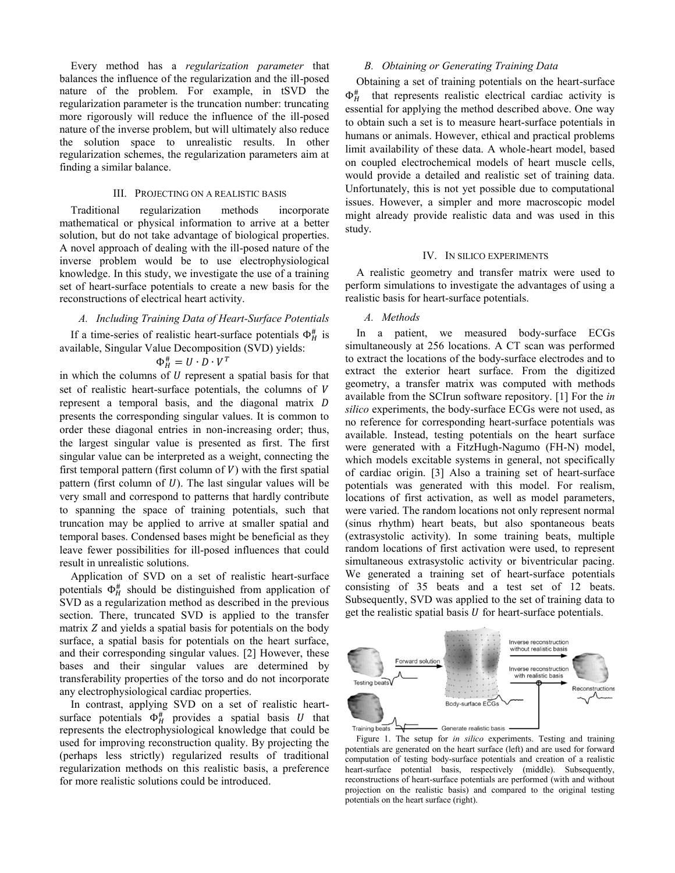Every method has a *regularization parameter* that balances the influence of the regularization and the ill-posed nature of the problem. For example, in tSVD the regularization parameter is the truncation number: truncating more rigorously will reduce the influence of the ill-posed nature of the inverse problem, but will ultimately also reduce the solution space to unrealistic results. In other regularization schemes, the regularization parameters aim at finding a similar balance.

#### III. PROJECTING ON A REALISTIC BASIS

Traditional regularization methods incorporate mathematical or physical information to arrive at a better solution, but do not take advantage of biological properties. A novel approach of dealing with the ill-posed nature of the inverse problem would be to use electrophysiological knowledge. In this study, we investigate the use of a training set of heart-surface potentials to create a new basis for the reconstructions of electrical heart activity.

#### *A. Including Training Data of Heart-Surface Potentials*

If a time-series of realistic heart-surface potentials  $\Phi_H^{\#}$  is available, Singular Value Decomposition (SVD) yields:

# $\Phi_H^{\#} = U \cdot D \cdot V^T$

in which the columns of  $U$  represent a spatial basis for that set of realistic heart-surface potentials, the columns of V represent a temporal basis, and the diagonal matrix D presents the corresponding singular values. It is common to order these diagonal entries in non-increasing order; thus, the largest singular value is presented as first. The first singular value can be interpreted as a weight, connecting the first temporal pattern (first column of  $V$ ) with the first spatial pattern (first column of  $U$ ). The last singular values will be very small and correspond to patterns that hardly contribute to spanning the space of training potentials, such that truncation may be applied to arrive at smaller spatial and temporal bases. Condensed bases might be beneficial as they leave fewer possibilities for ill-posed influences that could result in unrealistic solutions.

Application of SVD on a set of realistic heart-surface potentials  $\Phi_H^{\#}$  should be distinguished from application of SVD as a regularization method as described in the previous section. There, truncated SVD is applied to the transfer matrix  $Z$  and yields a spatial basis for potentials on the body surface, a spatial basis for potentials on the heart surface, and their corresponding singular values. [2] However, these bases and their singular values are determined by transferability properties of the torso and do not incorporate any electrophysiological cardiac properties.

In contrast, applying SVD on a set of realistic heartsurface potentials  $\Phi_H^{\#}$  provides a spatial basis U that represents the electrophysiological knowledge that could be used for improving reconstruction quality. By projecting the (perhaps less strictly) regularized results of traditional regularization methods on this realistic basis, a preference for more realistic solutions could be introduced.

#### *B. Obtaining or Generating Training Data*

Obtaining a set of training potentials on the heart-surface  $\Phi_H^{\text{\#}}$ that represents realistic electrical cardiac activity is essential for applying the method described above. One way to obtain such a set is to measure heart-surface potentials in humans or animals. However, ethical and practical problems limit availability of these data. A whole-heart model, based on coupled electrochemical models of heart muscle cells, would provide a detailed and realistic set of training data. Unfortunately, this is not yet possible due to computational issues. However, a simpler and more macroscopic model might already provide realistic data and was used in this study.

### IV. IN SILICO EXPERIMENTS

A realistic geometry and transfer matrix were used to perform simulations to investigate the advantages of using a realistic basis for heart-surface potentials.

## *A. Methods*

In a patient, we measured body-surface ECGs simultaneously at 256 locations. A CT scan was performed to extract the locations of the body-surface electrodes and to extract the exterior heart surface. From the digitized geometry, a transfer matrix was computed with methods available from the SCIrun software repository. [1] For the *in silico* experiments, the body-surface ECGs were not used, as no reference for corresponding heart-surface potentials was available. Instead, testing potentials on the heart surface were generated with a FitzHugh-Nagumo (FH-N) model, which models excitable systems in general, not specifically of cardiac origin. [3] Also a training set of heart-surface potentials was generated with this model. For realism, locations of first activation, as well as model parameters, were varied. The random locations not only represent normal (sinus rhythm) heart beats, but also spontaneous beats (extrasystolic activity). In some training beats, multiple random locations of first activation were used, to represent simultaneous extrasystolic activity or biventricular pacing. We generated a training set of heart-surface potentials consisting of 35 beats and a test set of 12 beats. Subsequently, SVD was applied to the set of training data to get the realistic spatial basis  $U$  for heart-surface potentials.



Figure 1. The setup for *in silico* experiments. Testing and training potentials are generated on the heart surface (left) and are used for forward computation of testing body-surface potentials and creation of a realistic heart-surface potential basis, respectively (middle). Subsequently, reconstructions of heart-surface potentials are performed (with and without projection on the realistic basis) and compared to the original testing potentials on the heart surface (right).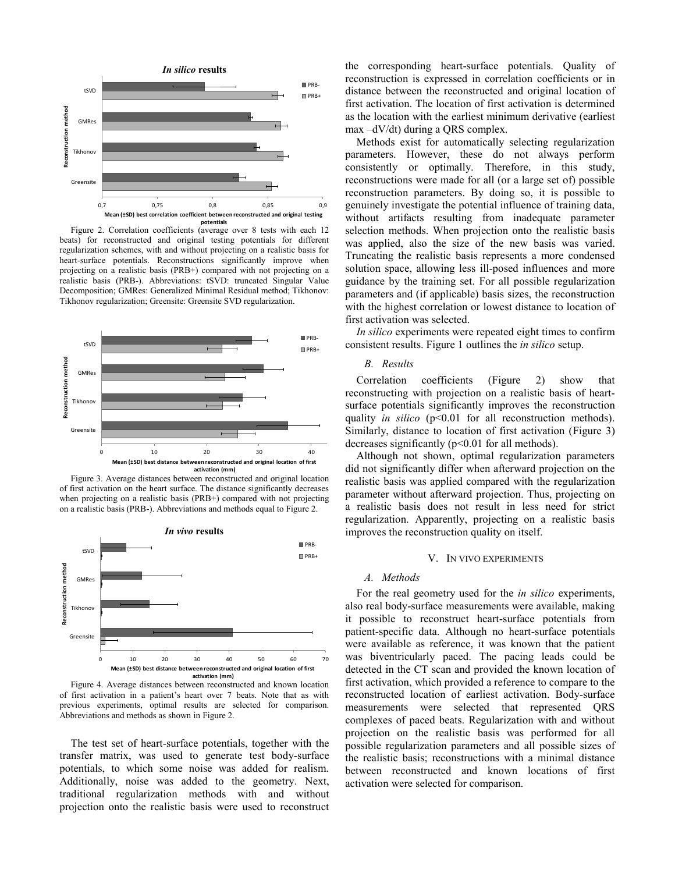

Figure 2. Correlation coefficients (average over 8 tests with each 12 beats) for reconstructed and original testing potentials for different regularization schemes, with and without projecting on a realistic basis for heart-surface potentials. Reconstructions significantly improve when projecting on a realistic basis (PRB+) compared with not projecting on a realistic basis (PRB-). Abbreviations: tSVD: truncated Singular Value Decomposition; GMRes: Generalized Minimal Residual method; Tikhonov: Tikhonov regularization; Greensite: Greensite SVD regularization.



Figure 3. Average distances between reconstructed and original location of first activation on the heart surface. The distance significantly decreases when projecting on a realistic basis (PRB+) compared with not projecting on a realistic basis (PRB-). Abbreviations and methods equal to Figure 2.



Figure 4. Average distances between reconstructed and known location of first activation in a patient's heart over 7 beats. Note that as with previous experiments, optimal results are selected for comparison. Abbreviations and methods as shown in Figure 2.

The test set of heart-surface potentials, together with the transfer matrix, was used to generate test body-surface potentials, to which some noise was added for realism. Additionally, noise was added to the geometry. Next, traditional regularization methods with and without projection onto the realistic basis were used to reconstruct

the corresponding heart-surface potentials. Quality of reconstruction is expressed in correlation coefficients or in distance between the reconstructed and original location of first activation. The location of first activation is determined as the location with the earliest minimum derivative (earliest max –dV/dt) during a QRS complex.

Methods exist for automatically selecting regularization parameters. However, these do not always perform consistently or optimally. Therefore, in this study, reconstructions were made for all (or a large set of) possible reconstruction parameters. By doing so, it is possible to genuinely investigate the potential influence of training data, without artifacts resulting from inadequate parameter selection methods. When projection onto the realistic basis was applied, also the size of the new basis was varied. Truncating the realistic basis represents a more condensed solution space, allowing less ill-posed influences and more guidance by the training set. For all possible regularization parameters and (if applicable) basis sizes, the reconstruction with the highest correlation or lowest distance to location of first activation was selected.

*In silico* experiments were repeated eight times to confirm consistent results. Figure 1 outlines the *in silico* setup.

## *B. Results*

Correlation coefficients (Figure 2) show that reconstructing with projection on a realistic basis of heartsurface potentials significantly improves the reconstruction quality *in silico* (p<0.01 for all reconstruction methods). Similarly, distance to location of first activation (Figure 3) decreases significantly  $(p<0.01$  for all methods).

Although not shown, optimal regularization parameters did not significantly differ when afterward projection on the realistic basis was applied compared with the regularization parameter without afterward projection. Thus, projecting on a realistic basis does not result in less need for strict regularization. Apparently, projecting on a realistic basis improves the reconstruction quality on itself.

#### V. IN VIVO EXPERIMENTS

#### *A. Methods*

For the real geometry used for the *in silico* experiments, also real body-surface measurements were available, making it possible to reconstruct heart-surface potentials from patient-specific data. Although no heart-surface potentials were available as reference, it was known that the patient was biventricularly paced. The pacing leads could be detected in the CT scan and provided the known location of first activation, which provided a reference to compare to the reconstructed location of earliest activation. Body-surface measurements were selected that represented QRS complexes of paced beats. Regularization with and without projection on the realistic basis was performed for all possible regularization parameters and all possible sizes of the realistic basis; reconstructions with a minimal distance between reconstructed and known locations of first activation were selected for comparison.